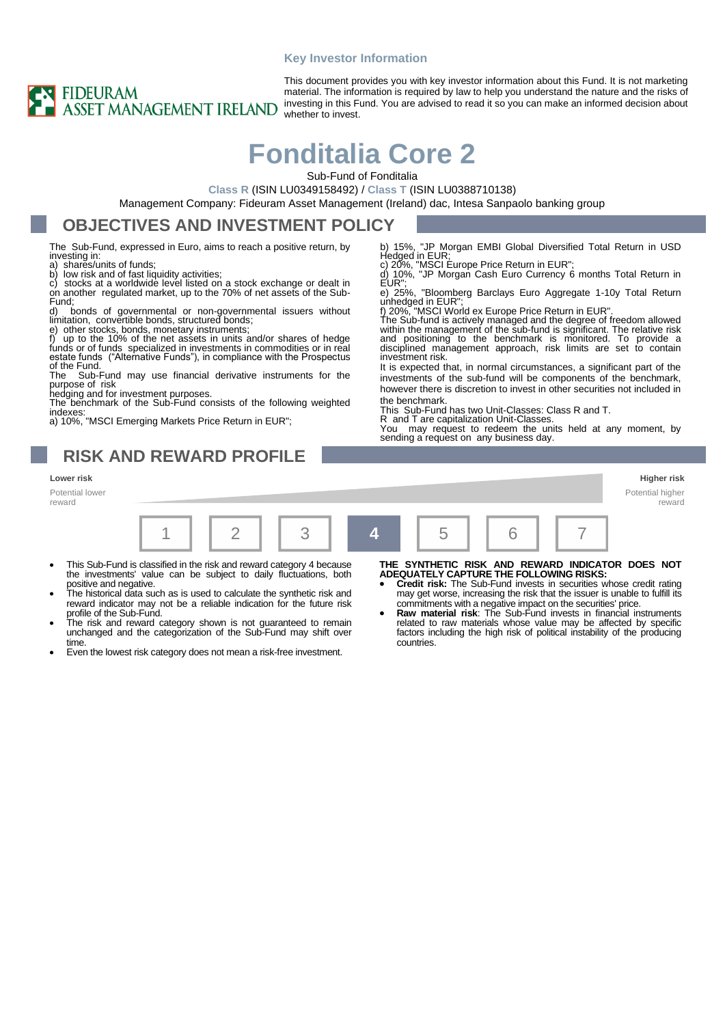#### **Key Investor Information**



This document provides you with key investor information about this Fund. It is not marketing material. The information is required by law to help you understand the nature and the risks of investing in this Fund. You are advised to read it so you can make an informed decision about whether to invest.

# **Fonditalia Core 2**

Sub-Fund of Fonditalia

EUR"

investment risk.

the benchmark.

**Class R** (ISIN LU0349158492) / **Class T** (ISIN LU0388710138)

Management Company: Fideuram Asset Management (Ireland) dac, Intesa Sanpaolo banking group

### **OBJECTIVES AND INVESTMENT POLICY**

The Sub-Fund, expressed in Euro, aims to reach a positive return, by investing in:<br>a) shares/u<br>b) low risk

shares/units of funds

b) low risk and of fast liquidity activities;<br>c) stocks at a worldwide level listed on

stocks at a worldwide level listed on a stock exchange or dealt in on another regulated market, up to the 70% of net assets of the Sub-Fund;

d) bonds of governmental or non-governmental issuers without limitation, convertible bonds, structured bonds;

e) other stocks, bonds, monetary instruments; f) up to the 10% of the net assets in units and/or shares of hedge funds or of funds specialized in investments in commodities or in real estate funds ("Alternative Funds"), in compliance with the Prospectus of the Fund.<br>The Sub-

Sub-Fund may use financial derivative instruments for the purpose of risk hedging and for investment purposes. The benchmark of the Sub-Fund consists of the following weighted

indexes: a) 10%, "MSCI Emerging Markets Price Return in EUR";

### **RISK AND REWARD PROFILE**

#### **Lower risk Higher risk**

Potential lower reward



- This Sub-Fund is classified in the risk and reward category 4 because the investments' value can be subject to daily fluctuations, both positive and negative.
- The historical data such as is used to calculate the synthetic risk and reward indicator may not be a reliable indication for the future risk profile of the Sub-Fund.
- The risk and reward category shown is not guaranteed to remain unchanged and the categorization of the Sub-Fund may shift over time.
- Even the lowest risk category does not mean a risk-free investment.

**THE SYNTHETIC RISK AND REWARD INDICATOR DOES NOT ADEQUATELY CAPTURE THE FOLLOWING RISKS:**

b) 15%, "JP Morgan EMBI Global Diversified Total Return in USD Hedged in EUR; c) 20%, "MSCI Europe Price Return in EUR"; d) 10%, "JP Morgan Cash Euro Currency 6 months Total Return in

e) 25%, "Bloomberg Barclays Euro Aggregate 1-10y Total Return

The Sub-fund is actively managed and the degree of freedom allowed within the management of the sub-fund is significant. The relative risk and positioning to the benchmark is monitored. To provide a disciplined management approach, risk limits are set to contain

It is expected that, in normal circumstances, a significant part of the investments of the sub-fund will be components of the benchmark, however there is discretion to invest in other securities not included in

R and T are capitalization Unit-Classes. You may request to redeem the units held at any moment, by

unhedged in EUR"; f) 20%, "MSCI World ex Europe Price Return in EUR".

This Sub-Fund has two Unit-Classes: Class R and T.

sending a request on any business day.

- **Credit risk:** The Sub-Fund invests in securities whose credit rating may get worse, increasing the risk that the issuer is unable to fulfill its commitments with a negative impact on the securities' price.
- **Raw material risk:** The Sub-Fund invests in financial instruments related to raw materials whose value may be affected by specific factors including the high risk of political instability of the producing countries.
- Potential higher reward